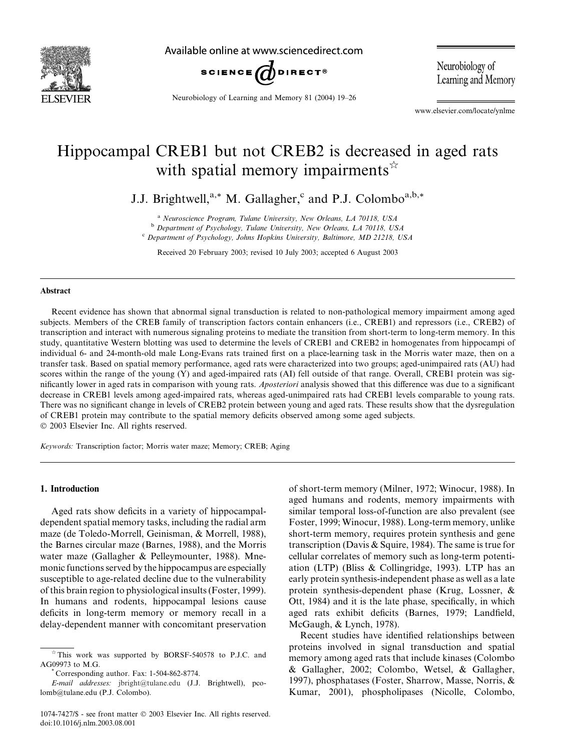

Available online at www.sciencedirect.com



Neurobiology of Learning and Memory 81 (2004) 19–26

Neurobiology of Learning and Memory

www.elsevier.com/locate/ynlme

## Hippocampal CREB1 but not CREB2 is decreased in aged rats with spatial memory impairments  $\hat{z}$

J.J. Brightwell, $a^*$  M. Gallagher,<sup>c</sup> and P.J. Colombo<sup>a,b,\*</sup>

<sup>a</sup> Neuroscience Program, Tulane University, New Orleans, LA 70118, USA

<sup>b</sup> Department of Psychology, Tulane University, New Orleans, LA 70118, USA

<sup>c</sup> Department of Psychology, Johns Hopkins University, Baltimore, MD 21218, USA

Received 20 February 2003; revised 10 July 2003; accepted 6 August 2003

#### Abstract

Recent evidence has shown that abnormal signal transduction is related to non-pathological memory impairment among aged subjects. Members of the CREB family of transcription factors contain enhancers (i.e., CREB1) and repressors (i.e., CREB2) of transcription and interact with numerous signaling proteins to mediate the transition from short-term to long-term memory. In this study, quantitative Western blotting was used to determine the levels of CREB1 and CREB2 in homogenates from hippocampi of individual 6- and 24-month-old male Long-Evans rats trained first on a place-learning task in the Morris water maze, then on a transfer task. Based on spatial memory performance, aged rats were characterized into two groups; aged-unimpaired rats (AU) had scores within the range of the young (Y) and aged-impaired rats (AI) fell outside of that range. Overall, CREB1 protein was significantly lower in aged rats in comparison with young rats. Aposteriori analysis showed that this difference was due to a significant decrease in CREB1 levels among aged-impaired rats, whereas aged-unimpaired rats had CREB1 levels comparable to young rats. There was no significant change in levels of CREB2 protein between young and aged rats. These results show that the dysregulation of CREB1 protein may contribute to the spatial memory deficits observed among some aged subjects. 2003 Elsevier Inc. All rights reserved.

Keywords: Transcription factor; Morris water maze; Memory; CREB; Aging

## 1. Introduction

Aged rats show deficits in a variety of hippocampaldependent spatial memory tasks, including the radial arm maze (de Toledo-Morrell, Geinisman, & Morrell, 1988), the Barnes circular maze (Barnes, 1988), and the Morris water maze (Gallagher & Pelleymounter, 1988). Mnemonic functions served by the hippocampus are especially susceptible to age-related decline due to the vulnerability of this brain region to physiological insults (Foster, 1999). In humans and rodents, hippocampal lesions cause deficits in long-term memory or memory recall in a delay-dependent manner with concomitant preservation

of short-term memory (Milner, 1972; Winocur, 1988). In aged humans and rodents, memory impairments with similar temporal loss-of-function are also prevalent (see Foster, 1999; Winocur, 1988). Long-term memory, unlike short-term memory, requires protein synthesis and gene transcription (Davis & Squire, 1984). The same is true for cellular correlates of memory such as long-term potentiation (LTP) (Bliss & Collingridge, 1993). LTP has an early protein synthesis-independent phase as well as a late protein synthesis-dependent phase (Krug, Lossner, & Ott, 1984) and it is the late phase, specifically, in which aged rats exhibit deficits (Barnes, 1979; Landfield, McGaugh, & Lynch, 1978).

Recent studies have identified relationships between proteins involved in signal transduction and spatial memory among aged rats that include kinases (Colombo & Gallagher, 2002; Colombo, Wetsel, & Gallagher, 1997), phosphatases (Foster, Sharrow, Masse, Norris, & Kumar, 2001), phospholipases (Nicolle, Colombo,

 $*$  This work was supported by BORSF-540578 to P.J.C. and AG09973 to M.G. \* Corresponding author. Fax: 1-504-862-8774.

E-mail addresses: [jbright@tulane.edu](mail to: jbright@tulane.edu) (J.J. Brightwell), pcolomb@tulane.edu (P.J. Colombo).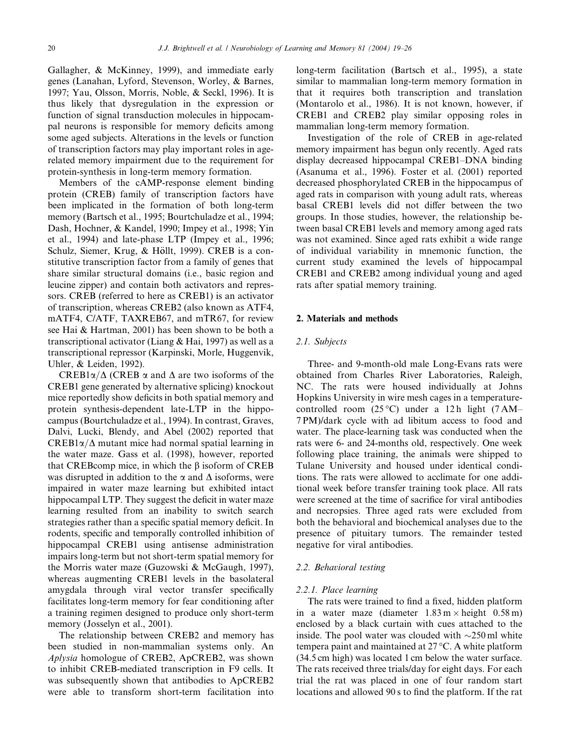Gallagher, & McKinney, 1999), and immediate early genes (Lanahan, Lyford, Stevenson, Worley, & Barnes, 1997; Yau, Olsson, Morris, Noble, & Seckl, 1996). It is thus likely that dysregulation in the expression or function of signal transduction molecules in hippocampal neurons is responsible for memory deficits among some aged subjects. Alterations in the levels or function of transcription factors may play important roles in agerelated memory impairment due to the requirement for protein-synthesis in long-term memory formation.

Members of the cAMP-response element binding protein (CREB) family of transcription factors have been implicated in the formation of both long-term memory (Bartsch et al., 1995; Bourtchuladze et al., 1994; Dash, Hochner, & Kandel, 1990; Impey et al., 1998; Yin et al., 1994) and late-phase LTP (Impey et al., 1996; Schulz, Siemer, Krug, & Höllt, 1999). CREB is a constitutive transcription factor from a family of genes that share similar structural domains (i.e., basic region and leucine zipper) and contain both activators and repressors. CREB (referred to here as CREB1) is an activator of transcription, whereas CREB2 (also known as ATF4, mATF4, C/ATF, TAXREB67, and mTR67, for review see Hai & Hartman, 2001) has been shown to be both a transcriptional activator (Liang & Hai, 1997) as well as a transcriptional repressor (Karpinski, Morle, Huggenvik, Uhler, & Leiden, 1992).

CREB1 $\alpha/\Delta$  (CREB  $\alpha$  and  $\Delta$  are two isoforms of the CREB1 gene generated by alternative splicing) knockout mice reportedly show deficits in both spatial memory and protein synthesis-dependent late-LTP in the hippocampus (Bourtchuladze et al., 1994). In contrast, Graves, Dalvi, Lucki, Blendy, and Abel (2002) reported that  $CREB1\alpha/\Delta$  mutant mice had normal spatial learning in the water maze. Gass et al. (1998), however, reported that CREB comp mice, in which the  $\beta$  isoform of CREB was disrupted in addition to the  $\alpha$  and  $\Delta$  isoforms, were impaired in water maze learning but exhibited intact hippocampal LTP. They suggest the deficit in water maze learning resulted from an inability to switch search strategies rather than a specific spatial memory deficit. In rodents, specific and temporally controlled inhibition of hippocampal CREB1 using antisense administration impairs long-term but not short-term spatial memory for the Morris water maze (Guzowski & McGaugh, 1997), whereas augmenting CREB1 levels in the basolateral amygdala through viral vector transfer specifically facilitates long-term memory for fear conditioning after a training regimen designed to produce only short-term memory (Josselyn et al., 2001).

The relationship between CREB2 and memory has been studied in non-mammalian systems only. An Aplysia homologue of CREB2, ApCREB2, was shown to inhibit CREB-mediated transcription in F9 cells. It was subsequently shown that antibodies to ApCREB2 were able to transform short-term facilitation into long-term facilitation (Bartsch et al., 1995), a state similar to mammalian long-term memory formation in that it requires both transcription and translation (Montarolo et al., 1986). It is not known, however, if CREB1 and CREB2 play similar opposing roles in mammalian long-term memory formation.

Investigation of the role of CREB in age-related memory impairment has begun only recently. Aged rats display decreased hippocampal CREB1–DNA binding (Asanuma et al., 1996). Foster et al. (2001) reported decreased phosphorylated CREB in the hippocampus of aged rats in comparison with young adult rats, whereas basal CREB1 levels did not differ between the two groups. In those studies, however, the relationship between basal CREB1 levels and memory among aged rats was not examined. Since aged rats exhibit a wide range of individual variability in mnemonic function, the current study examined the levels of hippocampal CREB1 and CREB2 among individual young and aged rats after spatial memory training.

### 2. Materials and methods

## 2.1. Subjects

Three- and 9-month-old male Long-Evans rats were obtained from Charles River Laboratories, Raleigh, NC. The rats were housed individually at Johns Hopkins University in wire mesh cages in a temperaturecontrolled room  $(25^{\circ}C)$  under a 12 h light  $(7 \text{ AM} -$ 7 PM)/dark cycle with ad libitum access to food and water. The place-learning task was conducted when the rats were 6- and 24-months old, respectively. One week following place training, the animals were shipped to Tulane University and housed under identical conditions. The rats were allowed to acclimate for one additional week before transfer training took place. All rats were screened at the time of sacrifice for viral antibodies and necropsies. Three aged rats were excluded from both the behavioral and biochemical analyses due to the presence of pituitary tumors. The remainder tested negative for viral antibodies.

#### 2.2. Behavioral testing

#### 2.2.1. Place learning

The rats were trained to find a fixed, hidden platform in a water maze (diameter  $1.83 \text{ m} \times \text{height}$  0.58 m) enclosed by a black curtain with cues attached to the inside. The pool water was clouded with  $\sim$ 250 ml white tempera paint and maintained at  $27^{\circ}$ C. A white platform (34.5 cm high) was located 1 cm below the water surface. The rats received three trials/day for eight days. For each trial the rat was placed in one of four random start locations and allowed 90 s to find the platform. If the rat